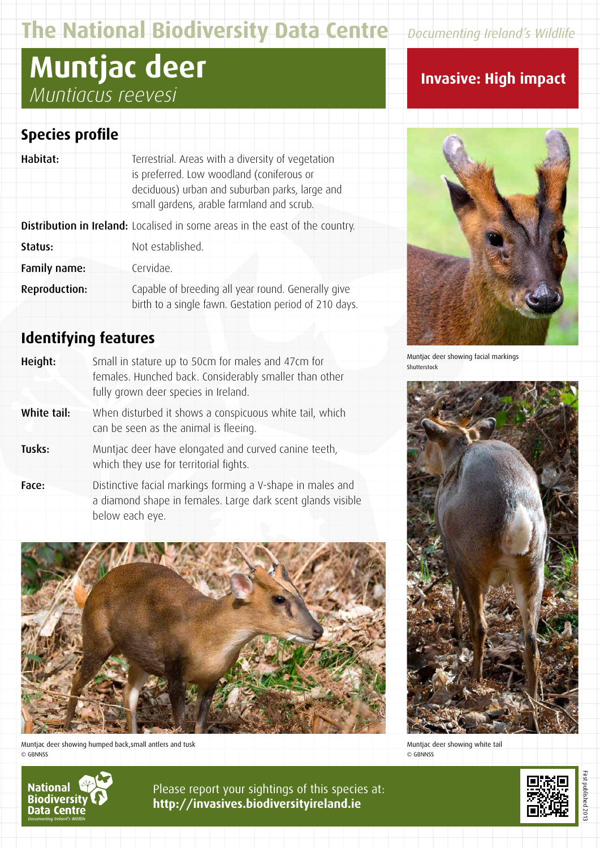# **The National Biodiversity Data Centre** *Documenting Ireland's Wildlife*

# **Muntjac deer** *Muntiacus reevesi*

### **Species profile**

| Habitat:             | Terrestrial. Areas with a diversity of vegetation                                                           |
|----------------------|-------------------------------------------------------------------------------------------------------------|
|                      | is preferred. Low woodland (coniferous or                                                                   |
|                      | deciduous) urban and suburban parks, large and                                                              |
|                      | small gardens, arable farmland and scrub.                                                                   |
|                      | <b>Distribution in Ireland:</b> Localised in some areas in the east of the country.                         |
| Status:              | Not established.                                                                                            |
| Family name:         | Cervidae.                                                                                                   |
| <b>Reproduction:</b> | Capable of breeding all year round. Generally give<br>birth to a single fawn. Gestation period of 210 days. |

## **Identifying features**

| Height:     | Small in stature up to 50cm for males and 47cm for<br>females. Hunched back. Considerably smaller than other<br>fully grown deer species in Ireland. |
|-------------|------------------------------------------------------------------------------------------------------------------------------------------------------|
| White tail: | When disturbed it shows a conspicuous white tail, which<br>can be seen as the animal is fleeing.                                                     |
| Tusks:      | Muntjac deer have elongated and curved canine teeth,<br>which they use for territorial fights.                                                       |
| Face:       | Distinctive facial markings forming a V-shape in males and<br>a diamond shape in females. Large dark scent glands visible                            |



Muntjac deer showing humped back,small antlers and tusk © GBNNSS

below each eye.

# **Invasive: High impact**



Muntjac deer showing facial markings Shutterstock



Muntjac deer showing white tail © GBNNSS



Please report your sightings of this species at: **http://invasives.biodiversityireland.ie**



First published 2013 published 2013